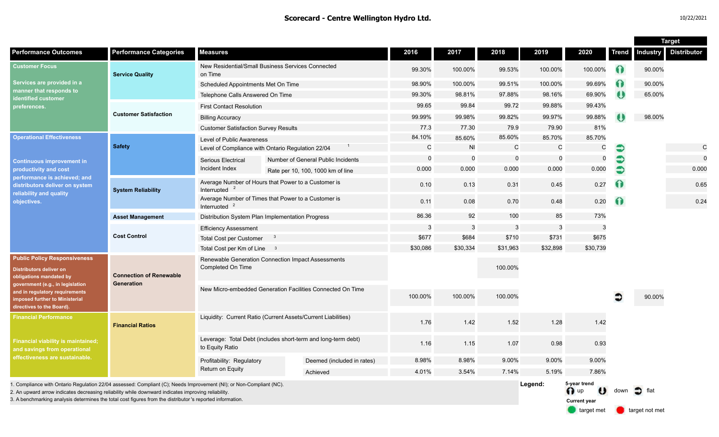|                                                                                                                                                                                                                                                                                                                                         |                                              |                                                                                  |  |                                    |                               |              |             |              |                                                     |           | <b>Target</b>   |                    |
|-----------------------------------------------------------------------------------------------------------------------------------------------------------------------------------------------------------------------------------------------------------------------------------------------------------------------------------------|----------------------------------------------|----------------------------------------------------------------------------------|--|------------------------------------|-------------------------------|--------------|-------------|--------------|-----------------------------------------------------|-----------|-----------------|--------------------|
| <b>Performance Outcomes</b>                                                                                                                                                                                                                                                                                                             | <b>Performance Categories</b>                | <b>Measures</b>                                                                  |  |                                    | 2016                          | 2017         | 2018        | 2019         | 2020                                                | Trend     | <b>Industry</b> | <b>Distributor</b> |
| <b>Customer Focus</b><br>Services are provided in a<br>manner that responds to<br>identified customer<br>preferences.                                                                                                                                                                                                                   | <b>Service Quality</b>                       | New Residential/Small Business Services Connected<br>on Time                     |  | 99.30%                             | 100.00%                       | 99.53%       | 100.00%     | 100.00%      | 0                                                   | 90.00%    |                 |                    |
|                                                                                                                                                                                                                                                                                                                                         |                                              | Scheduled Appointments Met On Time                                               |  |                                    | 98.90%                        | 100.00%      | 99.51%      | 100.00%      | 99.69%                                              | 0         | 90.00%          |                    |
|                                                                                                                                                                                                                                                                                                                                         |                                              | Telephone Calls Answered On Time                                                 |  |                                    | 99.30%                        | 98.81%       | 97.88%      | 98.16%       | 69.90%                                              | $\bullet$ | 65.00%          |                    |
|                                                                                                                                                                                                                                                                                                                                         | <b>Customer Satisfaction</b>                 | <b>First Contact Resolution</b>                                                  |  |                                    | 99.65                         | 99.84        | 99.72       | 99.88%       | 99.43%                                              |           |                 |                    |
|                                                                                                                                                                                                                                                                                                                                         |                                              | <b>Billing Accuracy</b>                                                          |  |                                    | 99.99%                        | 99.98%       | 99.82%      | 99.97%       | 99.88%                                              |           | 98.00%          |                    |
|                                                                                                                                                                                                                                                                                                                                         |                                              | <b>Customer Satisfaction Survey Results</b>                                      |  |                                    | 77.3                          | 77.30        | 79.9        | 79.90        | 81%                                                 |           |                 |                    |
| <b>Operational Effectiveness</b><br><b>Continuous improvement in</b><br>productivity and cost<br>performance is achieved; and<br>distributors deliver on system<br>reliability and quality<br>objectives.                                                                                                                               | <b>Safety</b>                                | Level of Public Awareness                                                        |  |                                    | 84.10%                        | 85.60%       | 85.60%      | 85.70%       | 85.70%                                              |           |                 |                    |
|                                                                                                                                                                                                                                                                                                                                         |                                              | Level of Compliance with Ontario Regulation 22/04                                |  |                                    | $\mathsf{C}$                  | <b>NI</b>    | C           | $\mathsf{C}$ | $\mathsf C$                                         | €         |                 | $\mathbf C$        |
|                                                                                                                                                                                                                                                                                                                                         |                                              | Serious Electrical                                                               |  | Number of General Public Incidents | $\overline{0}$<br>$\mathbf 0$ |              | $\mathbf 0$ | $\mathbf 0$  | $\mathbf 0$                                         | €         |                 | $\mathbf 0$        |
|                                                                                                                                                                                                                                                                                                                                         |                                              | Incident Index                                                                   |  | Rate per 10, 100, 1000 km of line  | 0.000                         | 0.000        | 0.000       | 0.000        | 0.000                                               | Ð         |                 | 0.000              |
|                                                                                                                                                                                                                                                                                                                                         | <b>System Reliability</b>                    | Average Number of Hours that Power to a Customer is<br>Interrupted               |  |                                    | 0.10                          | 0.13         | 0.31        | 0.45         | 0.27                                                | $\Omega$  |                 | 0.65               |
|                                                                                                                                                                                                                                                                                                                                         |                                              | Average Number of Times that Power to a Customer is<br>Interrupted               |  |                                    | 0.11                          | 0.08         | 0.70        | 0.48         | 0.20                                                | ⋒         |                 | 0.24               |
|                                                                                                                                                                                                                                                                                                                                         | <b>Asset Management</b>                      | Distribution System Plan Implementation Progress                                 |  |                                    | 86.36                         | 92           | 100         | 85           | 73%                                                 |           |                 |                    |
|                                                                                                                                                                                                                                                                                                                                         | <b>Cost Control</b>                          | <b>Efficiency Assessment</b>                                                     |  |                                    | 3                             | $\mathbf{3}$ | 3           | 3            | 3                                                   |           |                 |                    |
|                                                                                                                                                                                                                                                                                                                                         |                                              | Total Cost per Customer<br>- 3                                                   |  |                                    | \$677                         | \$684        | \$710       | \$731        | \$675                                               |           |                 |                    |
|                                                                                                                                                                                                                                                                                                                                         |                                              | Total Cost per Km of Line 3                                                      |  |                                    | \$30,086                      | \$30,334     | \$31,963    | \$32,898     | \$30,739                                            |           |                 |                    |
| <b>Public Policy Responsiveness</b><br><b>Distributors deliver on</b><br>obligations mandated by<br>government (e.g., in legislation<br>and in regulatory requirements<br>imposed further to Ministerial<br>directives to the Board).                                                                                                   | <b>Connection of Renewable</b><br>Generation | Renewable Generation Connection Impact Assessments<br>Completed On Time          |  |                                    |                               |              | 100.00%     |              |                                                     |           |                 |                    |
|                                                                                                                                                                                                                                                                                                                                         |                                              | New Micro-embedded Generation Facilities Connected On Time                       |  |                                    | 100.00%                       | 100.00%      | 100.00%     |              |                                                     | ∍         | 90.00%          |                    |
| <b>Financial Performance</b><br><b>Financial viability is maintained;</b><br>and savings from operational<br>effectiveness are sustainable.                                                                                                                                                                                             | <b>Financial Ratios</b>                      | Liquidity: Current Ratio (Current Assets/Current Liabilities)                    |  |                                    | 1.76                          | 1.42         | 1.52        | 1.28         | 1.42                                                |           |                 |                    |
|                                                                                                                                                                                                                                                                                                                                         |                                              | Leverage: Total Debt (includes short-term and long-term debt)<br>to Equity Ratio |  |                                    | 1.16                          | 1.15         | 1.07        | 0.98         | 0.93                                                |           |                 |                    |
|                                                                                                                                                                                                                                                                                                                                         |                                              | Profitability: Regulatory                                                        |  | Deemed (included in rates)         | 8.98%                         | 8.98%        | 9.00%       | 9.00%        | 9.00%                                               |           |                 |                    |
|                                                                                                                                                                                                                                                                                                                                         |                                              | Return on Equity                                                                 |  | Achieved                           | 4.01%                         | 3.54%        | 7.14%       | 5.19%        | 7.86%                                               |           |                 |                    |
| 1. Compliance with Ontario Regulation 22/04 assessed: Compliant (C); Needs Improvement (NI); or Non-Compliant (NC).<br>2. An upward arrow indicates decreasing reliability while downward indicates improving reliability<br>3. A benchmarking analysis determines the total cost figures from the distributor 's reported information. |                                              |                                                                                  |  |                                    |                               |              |             | Legend:      | 5-year trend<br>$\bigcap$ up<br><b>Current year</b> | down      | flat            |                    |

target met **target not met**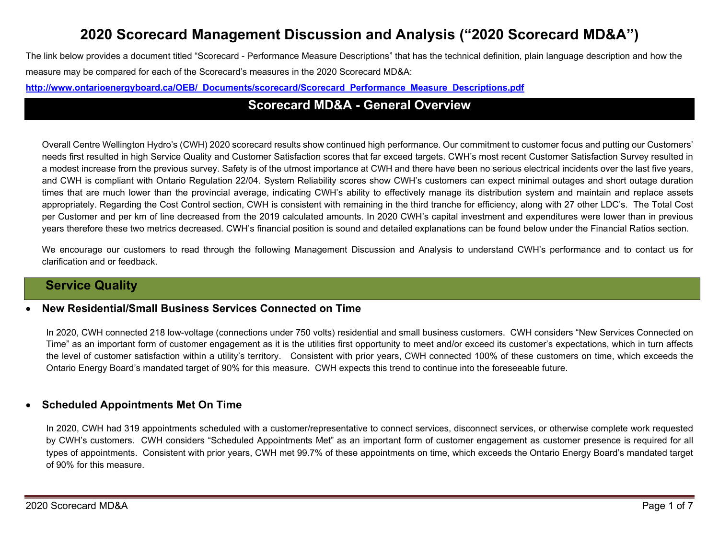# **2020 Scorecard Management Discussion and Analysis ("2020 Scorecard MD&A")**

The link below provides a document titled "Scorecard - Performance Measure Descriptions" that has the technical definition, plain language description and how the measure may be compared for each of the Scorecard's measures in the 2020 Scorecard MD&A:

**[http://www.ontarioenergyboard.ca/OEB/\\_Documents/scorecard/Scorecard\\_Performance\\_Measure\\_Descriptions.pdf](http://www.ontarioenergyboard.ca/OEB/_Documents/scorecard/Scorecard_Performance_Measure_Descriptions.pdf)**

## **Scorecard MD&A - General Overview**

Overall Centre Wellington Hydro's (CWH) 2020 scorecard results show continued high performance. Our commitment to customer focus and putting our Customers' needs first resulted in high Service Quality and Customer Satisfaction scores that far exceed targets. CWH's most recent Customer Satisfaction Survey resulted in a modest increase from the previous survey. Safety is of the utmost importance at CWH and there have been no serious electrical incidents over the last five years, and CWH is compliant with Ontario Regulation 22/04. System Reliability scores show CWH's customers can expect minimal outages and short outage duration times that are much lower than the provincial average, indicating CWH's ability to effectively manage its distribution system and maintain and replace assets appropriately. Regarding the Cost Control section, CWH is consistent with remaining in the third tranche for efficiency, along with 27 other LDC's. The Total Cost per Customer and per km of line decreased from the 2019 calculated amounts. In 2020 CWH's capital investment and expenditures were lower than in previous years therefore these two metrics decreased. CWH's financial position is sound and detailed explanations can be found below under the Financial Ratios section.

We encourage our customers to read through the following Management Discussion and Analysis to understand CWH's performance and to contact us for clarification and or feedback.

## **Service Quality**

#### • **New Residential/Small Business Services Connected on Time**

In 2020, CWH connected 218 low-voltage (connections under 750 volts) residential and small business customers. CWH considers "New Services Connected on Time" as an important form of customer engagement as it is the utilities first opportunity to meet and/or exceed its customer's expectations, which in turn affects the level of customer satisfaction within a utility's territory. Consistent with prior years, CWH connected 100% of these customers on time, which exceeds the Ontario Energy Board's mandated target of 90% for this measure. CWH expects this trend to continue into the foreseeable future.

### • **Scheduled Appointments Met On Time**

In 2020, CWH had 319 appointments scheduled with a customer/representative to connect services, disconnect services, or otherwise complete work requested by CWH's customers. CWH considers "Scheduled Appointments Met" as an important form of customer engagement as customer presence is required for all types of appointments. Consistent with prior years, CWH met 99.7% of these appointments on time, which exceeds the Ontario Energy Board's mandated target of 90% for this measure.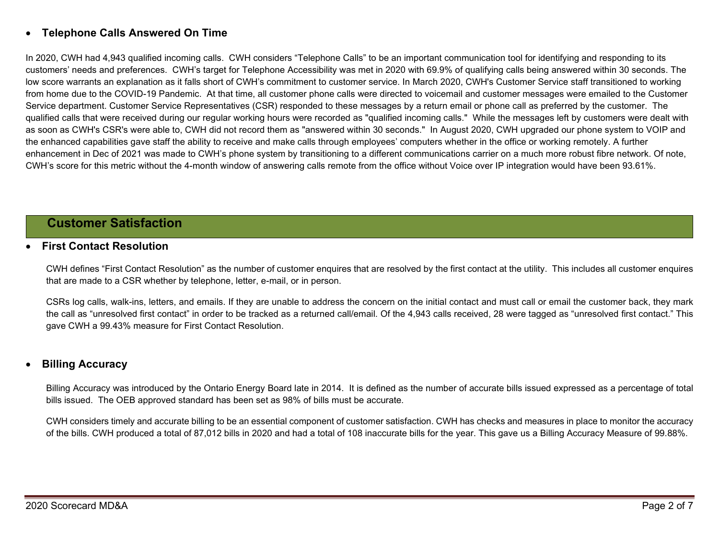### • **Telephone Calls Answered On Time**

In 2020, CWH had 4,943 qualified incoming calls. CWH considers "Telephone Calls" to be an important communication tool for identifying and responding to its customers' needs and preferences. CWH's target for Telephone Accessibility was met in 2020 with 69.9% of qualifying calls being answered within 30 seconds. The low score warrants an explanation as it falls short of CWH's commitment to customer service. In March 2020, CWH's Customer Service staff transitioned to working from home due to the COVID-19 Pandemic. At that time, all customer phone calls were directed to voicemail and customer messages were emailed to the Customer Service department. Customer Service Representatives (CSR) responded to these messages by a return email or phone call as preferred by the customer. The qualified calls that were received during our regular working hours were recorded as "qualified incoming calls." While the messages left by customers were dealt with as soon as CWH's CSR's were able to, CWH did not record them as "answered within 30 seconds." In August 2020, CWH upgraded our phone system to VOIP and the enhanced capabilities gave staff the ability to receive and make calls through employees' computers whether in the office or working remotely. A further enhancement in Dec of 2021 was made to CWH's phone system by transitioning to a different communications carrier on a much more robust fibre network. Of note, CWH's score for this metric without the 4-month window of answering calls remote from the office without Voice over IP integration would have been 93.61%.

### **Customer Satisfaction**

### • **First Contact Resolution**

CWH defines "First Contact Resolution" as the number of customer enquires that are resolved by the first contact at the utility. This includes all customer enquires that are made to a CSR whether by telephone, letter, e-mail, or in person.

CSRs log calls, walk-ins, letters, and emails. If they are unable to address the concern on the initial contact and must call or email the customer back, they mark the call as "unresolved first contact" in order to be tracked as a returned call/email. Of the 4,943 calls received, 28 were tagged as "unresolved first contact." This gave CWH a 99.43% measure for First Contact Resolution.

#### • **Billing Accuracy**

Billing Accuracy was introduced by the Ontario Energy Board late in 2014. It is defined as the number of accurate bills issued expressed as a percentage of total bills issued. The OEB approved standard has been set as 98% of bills must be accurate.

CWH considers timely and accurate billing to be an essential component of customer satisfaction. CWH has checks and measures in place to monitor the accuracy of the bills. CWH produced a total of 87,012 bills in 2020 and had a total of 108 inaccurate bills for the year. This gave us a Billing Accuracy Measure of 99.88%.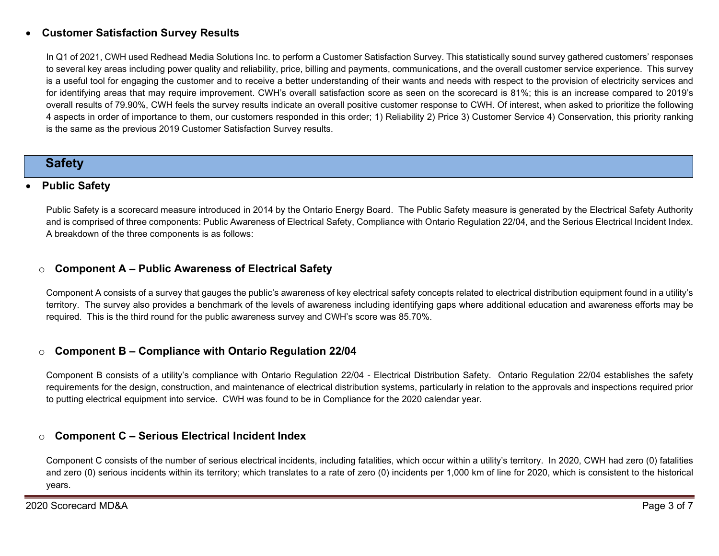### • **Customer Satisfaction Survey Results**

In Q1 of 2021, CWH used Redhead Media Solutions Inc. to perform a Customer Satisfaction Survey. This statistically sound survey gathered customers' responses to several key areas including power quality and reliability, price, billing and payments, communications, and the overall customer service experience. This survey is a useful tool for engaging the customer and to receive a better understanding of their wants and needs with respect to the provision of electricity services and for identifying areas that may require improvement. CWH's overall satisfaction score as seen on the scorecard is 81%; this is an increase compared to 2019's overall results of 79.90%, CWH feels the survey results indicate an overall positive customer response to CWH. Of interest, when asked to prioritize the following 4 aspects in order of importance to them, our customers responded in this order; 1) Reliability 2) Price 3) Customer Service 4) Conservation, this priority ranking is the same as the previous 2019 Customer Satisfaction Survey results.

## **Safety**

### • **Public Safety**

Public Safety is a scorecard measure introduced in 2014 by the Ontario Energy Board. The Public Safety measure is generated by the Electrical Safety Authority and is comprised of three components: Public Awareness of Electrical Safety, Compliance with Ontario Regulation 22/04, and the Serious Electrical Incident Index. A breakdown of the three components is as follows:

### o **Component A – Public Awareness of Electrical Safety**

Component A consists of a survey that gauges the public's awareness of key electrical safety concepts related to electrical distribution equipment found in a utility's territory. The survey also provides a benchmark of the levels of awareness including identifying gaps where additional education and awareness efforts may be required. This is the third round for the public awareness survey and CWH's score was 85.70%.

### o **Component B – Compliance with Ontario Regulation 22/04**

Component B consists of a utility's compliance with Ontario Regulation 22/04 - Electrical Distribution Safety. Ontario Regulation 22/04 establishes the safety requirements for the design, construction, and maintenance of electrical distribution systems, particularly in relation to the approvals and inspections required prior to putting electrical equipment into service. CWH was found to be in Compliance for the 2020 calendar year.

### o **Component C – Serious Electrical Incident Index**

Component C consists of the number of serious electrical incidents, including fatalities, which occur within a utility's territory. In 2020, CWH had zero (0) fatalities and zero (0) serious incidents within its territory; which translates to a rate of zero (0) incidents per 1,000 km of line for 2020, which is consistent to the historical years.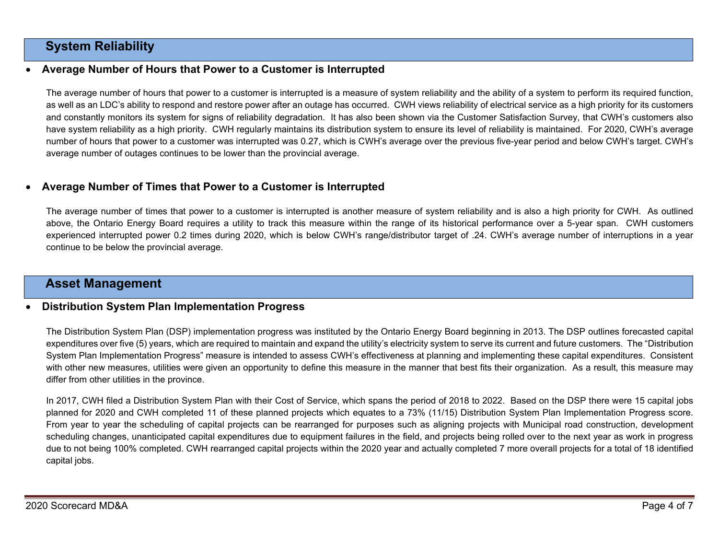## **System Reliability**

### • **Average Number of Hours that Power to a Customer is Interrupted**

The average number of hours that power to a customer is interrupted is a measure of system reliability and the ability of a system to perform its required function, as well as an LDC's ability to respond and restore power after an outage has occurred. CWH views reliability of electrical service as a high priority for its customers and constantly monitors its system for signs of reliability degradation. It has also been shown via the Customer Satisfaction Survey, that CWH's customers also have system reliability as a high priority. CWH regularly maintains its distribution system to ensure its level of reliability is maintained. For 2020, CWH's average number of hours that power to a customer was interrupted was 0.27, which is CWH's average over the previous five-year period and below CWH's target. CWH's average number of outages continues to be lower than the provincial average.

### • **Average Number of Times that Power to a Customer is Interrupted**

The average number of times that power to a customer is interrupted is another measure of system reliability and is also a high priority for CWH. As outlined above, the Ontario Energy Board requires a utility to track this measure within the range of its historical performance over a 5-year span. CWH customers experienced interrupted power 0.2 times during 2020, which is below CWH's range/distributor target of .24. CWH's average number of interruptions in a year continue to be below the provincial average.

### **Asset Management**

#### • **Distribution System Plan Implementation Progress**

The Distribution System Plan (DSP) implementation progress was instituted by the Ontario Energy Board beginning in 2013. The DSP outlines forecasted capital expenditures over five (5) years, which are required to maintain and expand the utility's electricity system to serve its current and future customers. The "Distribution System Plan Implementation Progress" measure is intended to assess CWH's effectiveness at planning and implementing these capital expenditures. Consistent with other new measures, utilities were given an opportunity to define this measure in the manner that best fits their organization. As a result, this measure may differ from other utilities in the province.

In 2017, CWH filed a Distribution System Plan with their Cost of Service, which spans the period of 2018 to 2022. Based on the DSP there were 15 capital jobs planned for 2020 and CWH completed 11 of these planned projects which equates to a 73% (11/15) Distribution System Plan Implementation Progress score. From year to year the scheduling of capital projects can be rearranged for purposes such as aligning projects with Municipal road construction, development scheduling changes, unanticipated capital expenditures due to equipment failures in the field, and projects being rolled over to the next year as work in progress due to not being 100% completed. CWH rearranged capital projects within the 2020 year and actually completed 7 more overall projects for a total of 18 identified capital jobs.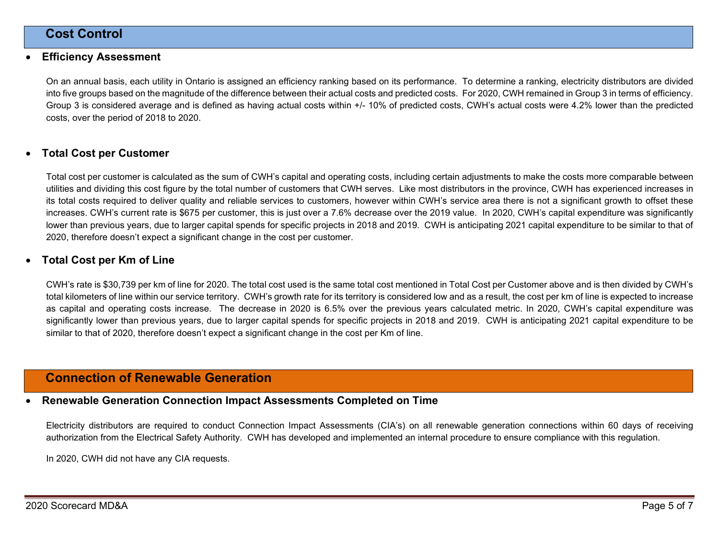## **Cost Control**

#### • **Efficiency Assessment**

On an annual basis, each utility in Ontario is assigned an efficiency ranking based on its performance. To determine a ranking, electricity distributors are divided into five groups based on the magnitude of the difference between their actual costs and predicted costs. For 2020, CWH remained in Group 3 in terms of efficiency. Group 3 is considered average and is defined as having actual costs within +/- 10% of predicted costs, CWH's actual costs were 4.2% lower than the predicted costs, over the period of 2018 to 2020.

#### • **Total Cost per Customer**

Total cost per customer is calculated as the sum of CWH's capital and operating costs, including certain adjustments to make the costs more comparable between utilities and dividing this cost figure by the total number of customers that CWH serves. Like most distributors in the province, CWH has experienced increases in its total costs required to deliver quality and reliable services to customers, however within CWH's service area there is not a significant growth to offset these increases. CWH's current rate is \$675 per customer, this is just over a 7.6% decrease over the 2019 value. In 2020, CWH's capital expenditure was significantly lower than previous years, due to larger capital spends for specific projects in 2018 and 2019. CWH is anticipating 2021 capital expenditure to be similar to that of 2020, therefore doesn't expect a significant change in the cost per customer.

#### • **Total Cost per Km of Line**

CWH's rate is \$30,739 per km of line for 2020. The total cost used is the same total cost mentioned in Total Cost per Customer above and is then divided by CWH's total kilometers of line within our service territory. CWH's growth rate for its territory is considered low and as a result, the cost per km of line is expected to increase as capital and operating costs increase. The decrease in 2020 is 6.5% over the previous years calculated metric. In 2020, CWH's capital expenditure was significantly lower than previous years, due to larger capital spends for specific projects in 2018 and 2019. CWH is anticipating 2021 capital expenditure to be similar to that of 2020, therefore doesn't expect a significant change in the cost per Km of line.

## **Connection of Renewable Generation**

#### • **Renewable Generation Connection Impact Assessments Completed on Time**

Electricity distributors are required to conduct Connection Impact Assessments (CIA's) on all renewable generation connections within 60 days of receiving authorization from the Electrical Safety Authority. CWH has developed and implemented an internal procedure to ensure compliance with this regulation.

In 2020, CWH did not have any CIA requests.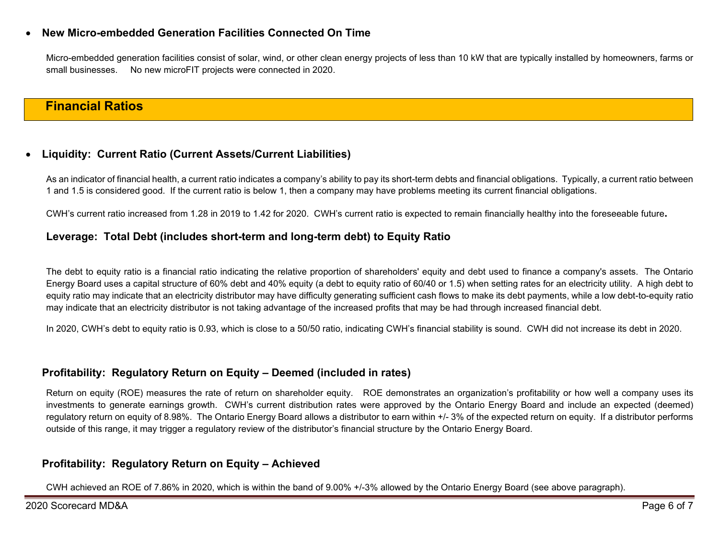### • **New Micro-embedded Generation Facilities Connected On Time**

Micro-embedded generation facilities consist of solar, wind, or other clean energy projects of less than 10 kW that are typically installed by homeowners, farms or small businesses. No new microFIT projects were connected in 2020.

## **Financial Ratios**

### • **Liquidity: Current Ratio (Current Assets/Current Liabilities)**

As an indicator of financial health, a current ratio indicates a company's ability to pay its short-term debts and financial obligations. Typically, a current ratio between 1 and 1.5 is considered good. If the current ratio is below 1, then a company may have problems meeting its current financial obligations.

CWH's current ratio increased from 1.28 in 2019 to 1.42 for 2020. CWH's current ratio is expected to remain financially healthy into the foreseeable future**.**

### **Leverage: Total Debt (includes short-term and long-term debt) to Equity Ratio**

The debt to equity ratio is a financial ratio indicating the relative proportion of shareholders' equity and debt used to finance a company's assets. The Ontario Energy Board uses a capital structure of 60% debt and 40% equity (a debt to equity ratio of 60/40 or 1.5) when setting rates for an electricity utility. A high debt to equity ratio may indicate that an electricity distributor may have difficulty generating sufficient cash flows to make its debt payments, while a low debt-to-equity ratio may indicate that an electricity distributor is not taking advantage of the increased profits that may be had through increased financial debt.

In 2020, CWH's debt to equity ratio is 0.93, which is close to a 50/50 ratio, indicating CWH's financial stability is sound. CWH did not increase its debt in 2020.

### **Profitability: Regulatory Return on Equity – Deemed (included in rates)**

Return on equity (ROE) measures the rate of return on shareholder equity. ROE demonstrates an organization's profitability or how well a company uses its investments to generate earnings growth. CWH's current distribution rates were approved by the Ontario Energy Board and include an expected (deemed) regulatory return on equity of 8.98%. The Ontario Energy Board allows a distributor to earn within +/- 3% of the expected return on equity. If a distributor performs outside of this range, it may trigger a regulatory review of the distributor's financial structure by the Ontario Energy Board.

### **Profitability: Regulatory Return on Equity – Achieved**

CWH achieved an ROE of 7.86% in 2020, which is within the band of 9.00% +/-3% allowed by the Ontario Energy Board (see above paragraph).